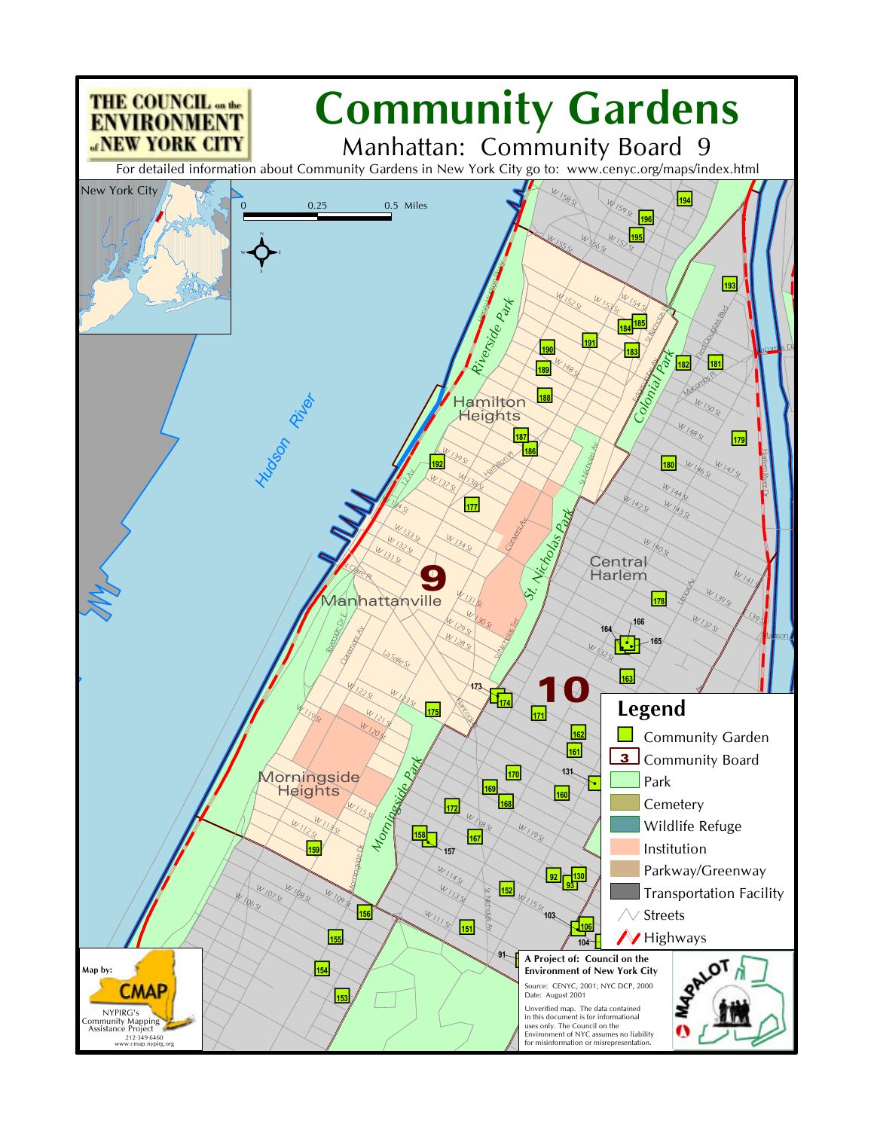